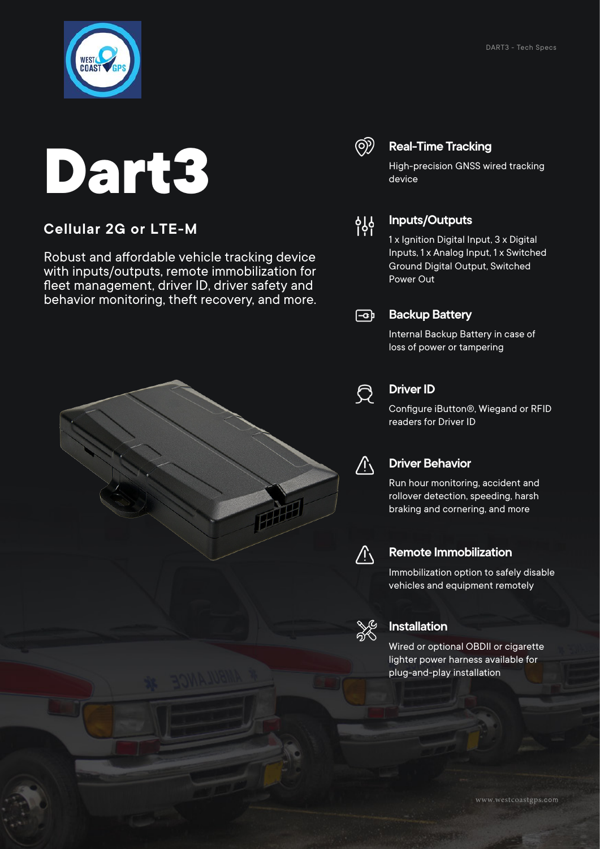

# **Dart3**

#### **Cellular 2G or LTE-M**

Robust and affordable vehicle tracking device with inputs/outputs, remote immobilization for fleet management, driver ID, driver safety and behavior monitoring, theft recovery, and more.



#### **Real-Time Tracking**

High-precision GNSS wired tracking device



#### **Inputs/Outputs**

1 x Ignition Digital Input, 3 x Digital Inputs, 1 x Analog Input, 1 x Switched Ground Digital Output, Switched Power Out

#### $\sqrt{2}$ **Backup Battery**

Internal Backup Battery in case of loss of power or tampering



#### **Driver ID**

Configure iButton®, Wiegand or RFID readers for Driver ID



#### **Driver Behavior**

Run hour monitoring, accident and rollover detection, speeding, harsh braking and cornering, and more



#### **Remote Immobilization**

Immobilization option to safely disable vehicles and equipment remotely



#### **Installation**

Wired or optional OBDII or cigarette lighter power harness available for plug-and-play installation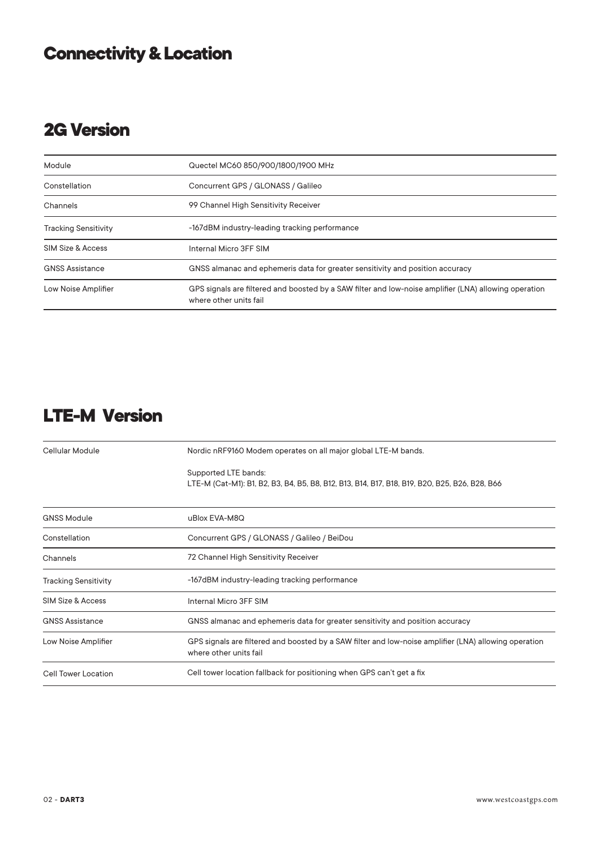## **Connectivity & Location**

## **2G Version**

| Module                      | Quectel MC60 850/900/1800/1900 MHz                                                                                              |
|-----------------------------|---------------------------------------------------------------------------------------------------------------------------------|
| Constellation               | Concurrent GPS / GLONASS / Galileo                                                                                              |
| Channels                    | 99 Channel High Sensitivity Receiver                                                                                            |
| <b>Tracking Sensitivity</b> | -167dBM industry-leading tracking performance                                                                                   |
| SIM Size & Access           | Internal Micro 3FF SIM                                                                                                          |
| <b>GNSS Assistance</b>      | GNSS almanac and ephemeris data for greater sensitivity and position accuracy                                                   |
| Low Noise Amplifier         | GPS signals are filtered and boosted by a SAW filter and low-noise amplifier (LNA) allowing operation<br>where other units fail |

## **LTE-M Version**

| Cellular Module             | Nordic nRF9160 Modem operates on all major global LTE-M bands.                                                                  |
|-----------------------------|---------------------------------------------------------------------------------------------------------------------------------|
|                             | Supported LTE bands:<br>LTE-M (Cat-M1): B1, B2, B3, B4, B5, B8, B12, B13, B14, B17, B18, B19, B20, B25, B26, B28, B66           |
| <b>GNSS Module</b>          | uBlox EVA-M8Q                                                                                                                   |
| Constellation               | Concurrent GPS / GLONASS / Galileo / BeiDou                                                                                     |
| Channels                    | 72 Channel High Sensitivity Receiver                                                                                            |
| <b>Tracking Sensitivity</b> | -167dBM industry-leading tracking performance                                                                                   |
| SIM Size & Access           | Internal Micro 3FF SIM                                                                                                          |
| <b>GNSS Assistance</b>      | GNSS almanac and ephemeris data for greater sensitivity and position accuracy                                                   |
| Low Noise Amplifier         | GPS signals are filtered and boosted by a SAW filter and low-noise amplifier (LNA) allowing operation<br>where other units fail |
| <b>Cell Tower Location</b>  | Cell tower location fallback for positioning when GPS can't get a fix                                                           |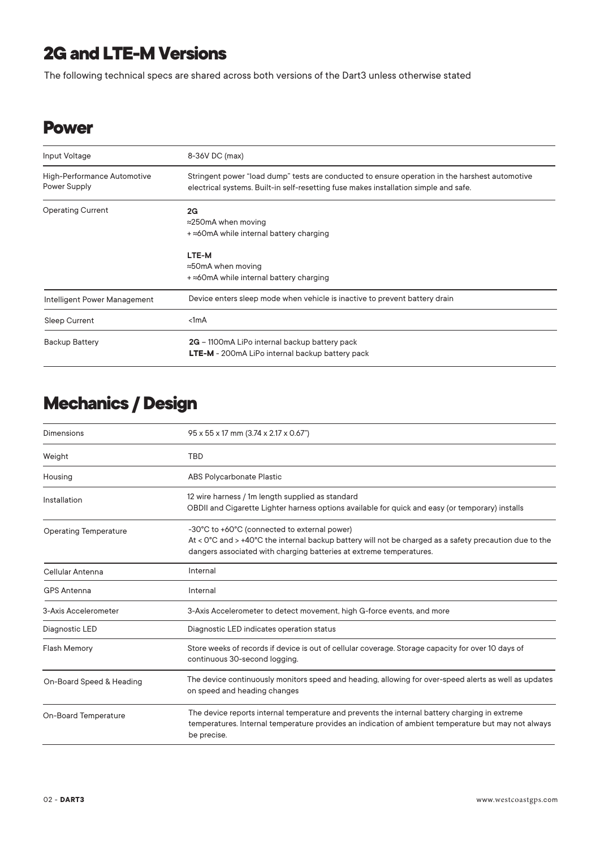## **2G and LTE-M Versions**

The following technical specs are shared across both versions of the Dart3 unless otherwise stated

#### **Power**

| Input Voltage                               | 8-36V DC (max)                                                                                                                                                                         |
|---------------------------------------------|----------------------------------------------------------------------------------------------------------------------------------------------------------------------------------------|
| High-Performance Automotive<br>Power Supply | Stringent power "load dump" tests are conducted to ensure operation in the harshest automotive<br>electrical systems. Built-in self-resetting fuse makes installation simple and safe. |
| <b>Operating Current</b>                    | 2G                                                                                                                                                                                     |
|                                             | $\approx$ 250mA when moving                                                                                                                                                            |
|                                             | $+$ $\approx$ 60mA while internal battery charging                                                                                                                                     |
|                                             | LTE-M                                                                                                                                                                                  |
|                                             | $\approx$ 50mA when moving                                                                                                                                                             |
|                                             | $+$ $\approx$ 60mA while internal battery charging                                                                                                                                     |
| Intelligent Power Management                | Device enters sleep mode when vehicle is inactive to prevent battery drain                                                                                                             |
| <b>Sleep Current</b>                        | < 1mA                                                                                                                                                                                  |
| Backup Battery                              | 2G – 1100mA LiPo internal backup battery pack                                                                                                                                          |
|                                             | <b>LTE-M</b> - 200mA LiPo internal backup battery pack                                                                                                                                 |

## **Mechanics / Design**

| Dimensions                   | 95 x 55 x 17 mm (3.74 x 2.17 x 0.67")                                                                                                                                                                                                              |
|------------------------------|----------------------------------------------------------------------------------------------------------------------------------------------------------------------------------------------------------------------------------------------------|
| Weight                       | <b>TBD</b>                                                                                                                                                                                                                                         |
| Housing                      | <b>ABS Polycarbonate Plastic</b>                                                                                                                                                                                                                   |
| Installation                 | 12 wire harness / 1m length supplied as standard<br>OBDII and Cigarette Lighter harness options available for quick and easy (or temporary) installs                                                                                               |
| <b>Operating Temperature</b> | -30°C to +60°C (connected to external power)<br>At < $0^{\circ}$ C and > +40 $^{\circ}$ C the internal backup battery will not be charged as a safety precaution due to the<br>dangers associated with charging batteries at extreme temperatures. |
| Cellular Antenna             | Internal                                                                                                                                                                                                                                           |
| <b>GPS Antenna</b>           | Internal                                                                                                                                                                                                                                           |
| 3-Axis Accelerometer         | 3-Axis Accelerometer to detect movement, high G-force events, and more                                                                                                                                                                             |
| Diagnostic LED               | Diagnostic LED indicates operation status                                                                                                                                                                                                          |
| <b>Flash Memory</b>          | Store weeks of records if device is out of cellular coverage. Storage capacity for over 10 days of<br>continuous 30-second logging.                                                                                                                |
| On-Board Speed & Heading     | The device continuously monitors speed and heading, allowing for over-speed alerts as well as updates<br>on speed and heading changes                                                                                                              |
| <b>On-Board Temperature</b>  | The device reports internal temperature and prevents the internal battery charging in extreme<br>temperatures. Internal temperature provides an indication of ambient temperature but may not always<br>be precise.                                |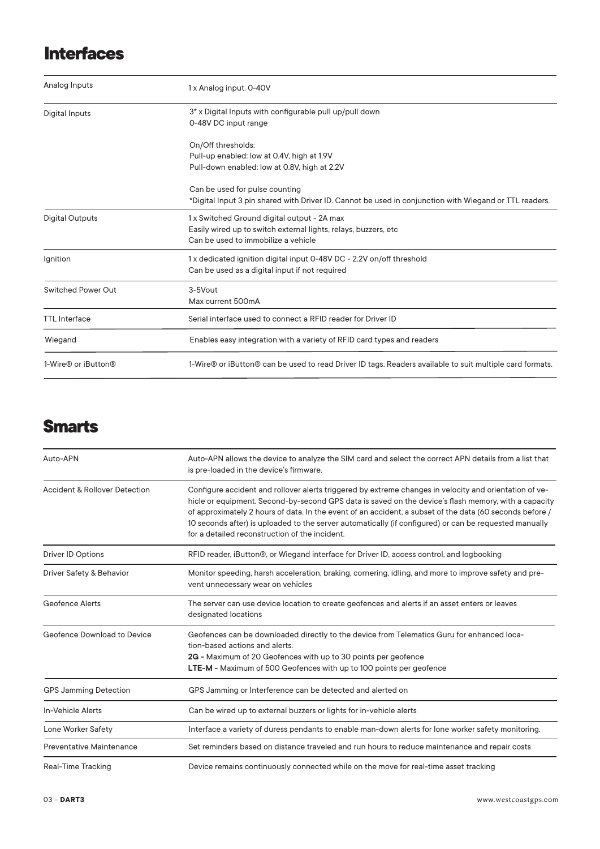### **Interfaces**

| Analog Inputs             | 1 x Analog input. 0-40V                                                                                                                                |
|---------------------------|--------------------------------------------------------------------------------------------------------------------------------------------------------|
| Digital Inputs            | 3* x Digital Inputs with configurable pull up/pull down<br>0-48V DC input range                                                                        |
|                           | On/Off thresholds:<br>Pull-up enabled: low at 0.4V, high at 1.9V<br>Pull-down enabled: low at 0.8V, high at 2.2V                                       |
|                           | Can be used for pulse counting<br>*Digital Input 3 pin shared with Driver ID. Cannot be used in conjunction with Wiegand or TTL readers.               |
| <b>Digital Outputs</b>    | 1 x Switched Ground digital output - 2A max<br>Easily wired up to switch external lights, relays, buzzers, etc.<br>Can be used to immobilize a vehicle |
| Ignition                  | 1x dedicated ignition digital input 0-48V DC - 2.2V on/off threshold<br>Can be used as a digital input if not required                                 |
| <b>Switched Power Out</b> | 3-5Vout<br>Max current 500mA                                                                                                                           |
| <b>TTL</b> Interface      | Serial interface used to connect a RFID reader for Driver ID                                                                                           |
| Wiegand                   | Enables easy integration with a variety of RFID card types and readers                                                                                 |
| 1-Wire® or iButton®       | 1-Wire® or iButton® can be used to read Driver ID tags. Readers available to suit multiple card formats.                                               |

#### **Smarts**

| Auto-APN                                 | Auto-APN allows the device to analyze the SIM card and select the correct APN details from a list that<br>is pre-loaded in the device's firmware.                                                                                                                                                                                                                                                                                                                                      |
|------------------------------------------|----------------------------------------------------------------------------------------------------------------------------------------------------------------------------------------------------------------------------------------------------------------------------------------------------------------------------------------------------------------------------------------------------------------------------------------------------------------------------------------|
| <b>Accident &amp; Rollover Detection</b> | Configure accident and rollover alerts triggered by extreme changes in velocity and orientation of ve-<br>hicle or equipment. Second-by-second GPS data is saved on the device's flash memory, with a capacity<br>of approximately 2 hours of data. In the event of an accident, a subset of the data (60 seconds before /<br>10 seconds after) is uploaded to the server automatically (if configured) or can be requested manually<br>for a detailed reconstruction of the incident. |
| <b>Driver ID Options</b>                 | RFID reader, iButton®, or Wiegand interface for Driver ID, access control, and logbooking                                                                                                                                                                                                                                                                                                                                                                                              |
| Driver Safety & Behavior                 | Monitor speeding, harsh acceleration, braking, cornering, idling, and more to improve safety and pre-<br>vent unnecessary wear on vehicles                                                                                                                                                                                                                                                                                                                                             |
| Geofence Alerts                          | The server can use device location to create geofences and alerts if an asset enters or leaves<br>designated locations                                                                                                                                                                                                                                                                                                                                                                 |
| Geofence Download to Device              | Geofences can be downloaded directly to the device from Telematics Guru for enhanced loca-<br>tion-based actions and alerts.<br>2G - Maximum of 20 Geofences with up to 30 points per geofence<br><b>LTE-M - Maximum of 500 Geofences with up to 100 points per geofence</b>                                                                                                                                                                                                           |
| <b>GPS Jamming Detection</b>             | GPS Jamming or Interference can be detected and alerted on                                                                                                                                                                                                                                                                                                                                                                                                                             |
| In-Vehicle Alerts                        | Can be wired up to external buzzers or lights for in-vehicle alerts                                                                                                                                                                                                                                                                                                                                                                                                                    |
| Lone Worker Safety                       | Interface a variety of duress pendants to enable man-down alerts for lone worker safety monitoring.                                                                                                                                                                                                                                                                                                                                                                                    |
| Preventative Maintenance                 | Set reminders based on distance traveled and run hours to reduce maintenance and repair costs                                                                                                                                                                                                                                                                                                                                                                                          |
| Real-Time Tracking                       | Device remains continuously connected while on the move for real-time asset tracking                                                                                                                                                                                                                                                                                                                                                                                                   |